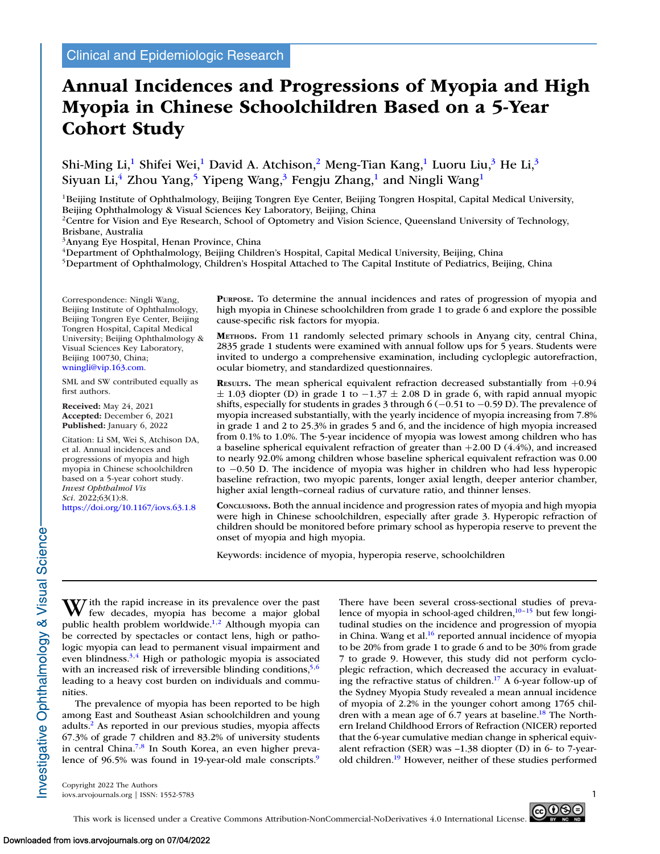# **Annual Incidences and Progressions of Myopia and High Myopia in Chinese Schoolchildren Based on a 5-Year Cohort Study**

Shi-Ming Li,<sup>1</sup> Shifei Wei,<sup>1</sup> David A. Atchison,<sup>2</sup> Meng-Tian Kang,<sup>1</sup> Luoru Liu,<sup>3</sup> He Li,<sup>3</sup> Siyuan Li,<sup>4</sup> Zhou Yang,<sup>5</sup> Yipeng Wang,<sup>3</sup> Fengju Zhang,<sup>1</sup> and Ningli Wang<sup>1</sup>

<sup>1</sup>Beijing Institute of Ophthalmology, Beijing Tongren Eye Center, Beijing Tongren Hospital, Capital Medical University, Beijing Ophthalmology & Visual Sciences Key Laboratory, Beijing, China

<sup>2</sup>Centre for Vision and Eye Research, School of Optometry and Vision Science, Queensland University of Technology, Brisbane, Australia

3Anyang Eye Hospital, Henan Province, China

4Department of Ophthalmology, Beijing Children's Hospital, Capital Medical University, Beijing, China

<sup>5</sup>Department of Ophthalmology, Children's Hospital Attached to The Capital Institute of Pediatrics, Beijing, China

Correspondence: Ningli Wang, Beijing Institute of Ophthalmology, Beijing Tongren Eye Center, Beijing Tongren Hospital, Capital Medical University; Beijing Ophthalmology & Visual Sciences Key Laboratory, Beijing 100730, China; [wningli@vip.163.com.](mailto:wningli@vip.163.com)

SML and SW contributed equally as first authors.

**Received:** May 24, 2021 **Accepted:** December 6, 2021 **Published:** January 6, 2022

Citation: Li SM, Wei S, Atchison DA, et al. Annual incidences and progressions of myopia and high myopia in Chinese schoolchildren based on a 5-year cohort study. *Invest Ophthalmol Vis Sci.* 2022;63(1):8. <https://doi.org/10.1167/iovs.63.1.8>

**PURPOSE.** To determine the annual incidences and rates of progression of myopia and high myopia in Chinese schoolchildren from grade 1 to grade 6 and explore the possible cause-specific risk factors for myopia.

**METHODS.** From 11 randomly selected primary schools in Anyang city, central China, 2835 grade 1 students were examined with annual follow ups for 5 years. Students were invited to undergo a comprehensive examination, including cycloplegic autorefraction, ocular biometry, and standardized questionnaires.

**RESULTS.** The mean spherical equivalent refraction decreased substantially from  $+0.94$  $\pm$  1.03 diopter (D) in grade 1 to  $-1.37 \pm 2.08$  D in grade 6, with rapid annual myopic shifts, especially for students in grades 3 through 6 (−0.51 to −0.59 D). The prevalence of myopia increased substantially, with the yearly incidence of myopia increasing from 7.8% in grade 1 and 2 to 25.3% in grades 5 and 6, and the incidence of high myopia increased from 0.1% to 1.0%. The 5-year incidence of myopia was lowest among children who has a baseline spherical equivalent refraction of greater than  $+2.00$  D (4.4%), and increased to nearly 92.0% among children whose baseline spherical equivalent refraction was 0.00 to −0.50 D. The incidence of myopia was higher in children who had less hyperopic baseline refraction, two myopic parents, longer axial length, deeper anterior chamber, higher axial length–corneal radius of curvature ratio, and thinner lenses.

**CONCLUSIONS.** Both the annual incidence and progression rates of myopia and high myopia were high in Chinese schoolchildren, especially after grade 3. Hyperopic refraction of children should be monitored before primary school as hyperopia reserve to prevent the onset of myopia and high myopia.

Keywords: incidence of myopia, hyperopia reserve, schoolchildren

nvestigative Ophthalmology & Visual Science

W ith the rapid increase in its prevalence over the past<br>few decades, myopia has become a major global public health problem worldwide.<sup>1,2</sup> Although myopia can be corrected by spectacles or contact lens, high or pathologic myopia can lead to permanent visual impairment and even blindness.<sup>3,4</sup> High or pathologic myopia is associated with an increased risk of irreversible blinding conditions,  $5,6$ leading to a heavy cost burden on individuals and communities.

The prevalence of myopia has been reported to be high among East and Southeast Asian schoolchildren and young adults[.2](#page-6-0) As reported in our previous studies, myopia affects 67.3% of grade 7 children and 83.2% of university students in central China[.7,8](#page-6-0) In South Korea, an even higher prevalence of 96.5% was found in 19-year-old male conscripts.<sup>9</sup> There have been several cross-sectional studies of prevalence of myopia in school-aged children,<sup>10-15</sup> but few longitudinal studies on the incidence and progression of myopia in China. Wang et al. $16$  reported annual incidence of myopia to be 20% from grade 1 to grade 6 and to be 30% from grade 7 to grade 9. However, this study did not perform cycloplegic refraction, which decreased the accuracy in evaluating the refractive status of children[.17](#page-6-0) A 6-year follow-up of the Sydney Myopia Study revealed a mean annual incidence of myopia of 2.2% in the younger cohort among 1765 children with a mean age of 6.7 years at baseline.<sup>18</sup> The Northern Ireland Childhood Errors of Refraction (NICER) reported that the 6-year cumulative median change in spherical equivalent refraction (SER) was –1.38 diopter (D) in 6- to 7-yearold children[.19](#page-6-0) However, neither of these studies performed

Copyright 2022 The Authors iovs.arvojournals.org | ISSN: 1552-5783 1

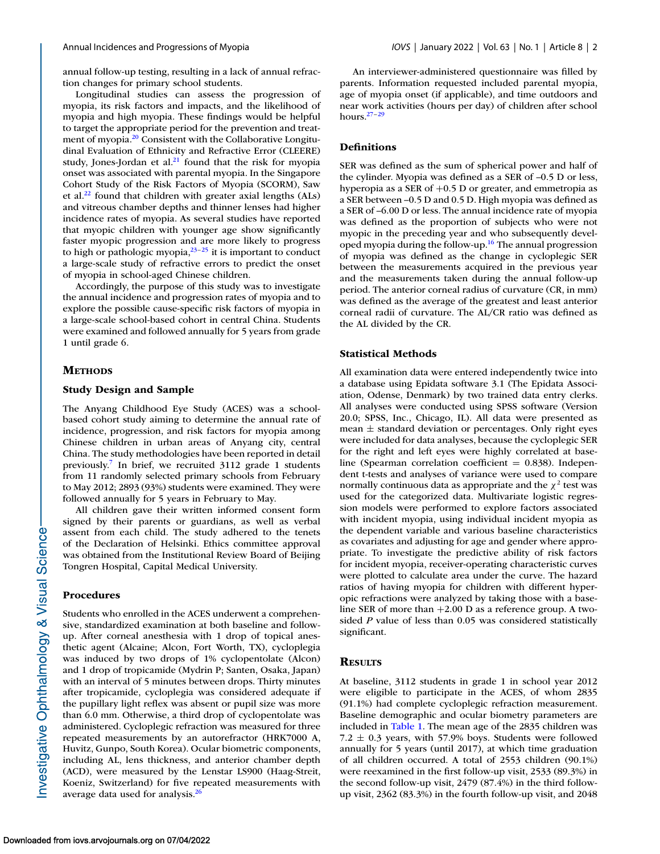annual follow-up testing, resulting in a lack of annual refraction changes for primary school students.

Longitudinal studies can assess the progression of myopia, its risk factors and impacts, and the likelihood of myopia and high myopia. These findings would be helpful to target the appropriate period for the prevention and treatment of myopia.<sup>20</sup> Consistent with the Collaborative Longitudinal Evaluation of Ethnicity and Refractive Error (CLEERE) study, Jones-Jordan et al. $^{21}$  found that the risk for myopia onset was associated with parental myopia. In the Singapore Cohort Study of the Risk Factors of Myopia (SCORM), Saw et al[.22](#page-7-0) found that children with greater axial lengths (ALs) and vitreous chamber depths and thinner lenses had higher incidence rates of myopia. As several studies have reported that myopic children with younger age show significantly faster myopic progression and are more likely to progress to high or pathologic myopia, $2^{3-25}$  it is important to conduct a large-scale study of refractive errors to predict the onset of myopia in school-aged Chinese children.

Accordingly, the purpose of this study was to investigate the annual incidence and progression rates of myopia and to explore the possible cause-specific risk factors of myopia in a large-scale school-based cohort in central China. Students were examined and followed annually for 5 years from grade 1 until grade 6.

## **METHODS**

# **Study Design and Sample**

The Anyang Childhood Eye Study (ACES) was a schoolbased cohort study aiming to determine the annual rate of incidence, progression, and risk factors for myopia among Chinese children in urban areas of Anyang city, central China. The study methodologies have been reported in detail previously[.7](#page-6-0) In brief, we recruited 3112 grade 1 students from 11 randomly selected primary schools from February to May 2012; 2893 (93%) students were examined. They were followed annually for 5 years in February to May.

All children gave their written informed consent form signed by their parents or guardians, as well as verbal assent from each child. The study adhered to the tenets of the Declaration of Helsinki. Ethics committee approval was obtained from the Institutional Review Board of Beijing Tongren Hospital, Capital Medical University.

# **Procedures**

Students who enrolled in the ACES underwent a comprehensive, standardized examination at both baseline and followup. After corneal anesthesia with 1 drop of topical anesthetic agent (Alcaine; Alcon, Fort Worth, TX), cycloplegia was induced by two drops of 1% cyclopentolate (Alcon) and 1 drop of tropicamide (Mydrin P; Santen, Osaka, Japan) with an interval of 5 minutes between drops. Thirty minutes after tropicamide, cycloplegia was considered adequate if the pupillary light reflex was absent or pupil size was more than 6.0 mm. Otherwise, a third drop of cyclopentolate was administered. Cycloplegic refraction was measured for three repeated measurements by an autorefractor (HRK7000 A, Huvitz, Gunpo, South Korea). Ocular biometric components, including AL, lens thickness, and anterior chamber depth (ACD), were measured by the Lenstar LS900 (Haag-Streit, Koeniz, Switzerland) for five repeated measurements with average data used for analysis. $^{26}$ 

An interviewer-administered questionnaire was filled by parents. Information requested included parental myopia, age of myopia onset (if applicable), and time outdoors and near work activities (hours per day) of children after school hours[.27–29](#page-7-0)

### **Definitions**

SER was defined as the sum of spherical power and half of the cylinder. Myopia was defined as a SER of –0.5 D or less, hyperopia as a SER of +0.5 D or greater, and emmetropia as a SER between –0.5 D and 0.5 D. High myopia was defined as a SER of –6.00 D or less. The annual incidence rate of myopia was defined as the proportion of subjects who were not myopic in the preceding year and who subsequently developed myopia during the follow-up.<sup>16</sup> The annual progression of myopia was defined as the change in cycloplegic SER between the measurements acquired in the previous year and the measurements taken during the annual follow-up period. The anterior corneal radius of curvature (CR, in mm) was defined as the average of the greatest and least anterior corneal radii of curvature. The AL/CR ratio was defined as the AL divided by the CR.

## **Statistical Methods**

All examination data were entered independently twice into a database using Epidata software 3.1 (The Epidata Association, Odense, Denmark) by two trained data entry clerks. All analyses were conducted using SPSS software (Version 20.0; SPSS, Inc., Chicago, IL). All data were presented as mean  $\pm$  standard deviation or percentages. Only right eyes were included for data analyses, because the cycloplegic SER for the right and left eyes were highly correlated at baseline (Spearman correlation coefficient  $= 0.838$ ). Independent t-tests and analyses of variance were used to compare normally continuous data as appropriate and the  $\chi^2$  test was used for the categorized data. Multivariate logistic regression models were performed to explore factors associated with incident myopia, using individual incident myopia as the dependent variable and various baseline characteristics as covariates and adjusting for age and gender where appropriate. To investigate the predictive ability of risk factors for incident myopia, receiver-operating characteristic curves were plotted to calculate area under the curve. The hazard ratios of having myopia for children with different hyperopic refractions were analyzed by taking those with a baseline SER of more than  $+2.00$  D as a reference group. A twosided *P* value of less than 0.05 was considered statistically significant.

### **RESULTS**

At baseline, 3112 students in grade 1 in school year 2012 were eligible to participate in the ACES, of whom 2835 (91.1%) had complete cycloplegic refraction measurement. Baseline demographic and ocular biometry parameters are included in [Table 1.](#page-2-0) The mean age of the 2835 children was  $7.2 \pm 0.3$  years, with 57.9% boys. Students were followed annually for 5 years (until 2017), at which time graduation of all children occurred. A total of 2553 children (90.1%) were reexamined in the first follow-up visit, 2533 (89.3%) in the second follow-up visit, 2479 (87.4%) in the third followup visit, 2362 (83.3%) in the fourth follow-up visit, and 2048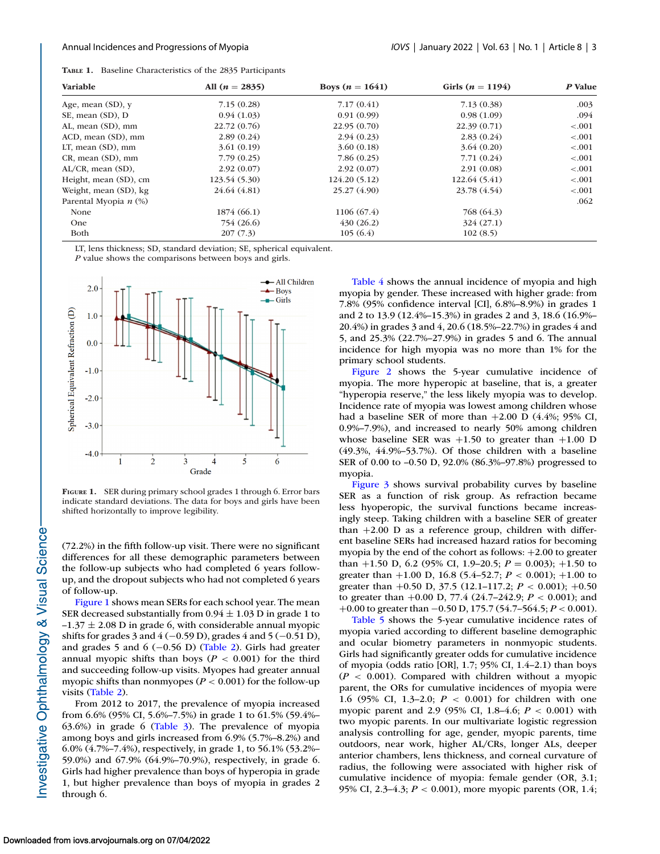<span id="page-2-0"></span>**TABLE 1.** Baseline Characteristics of the 2835 Participants

| Variable                | All $(n = 2835)$ | Boys $(n = 1641)$ | Girls ( $n = 1194$ ) | P Value |
|-------------------------|------------------|-------------------|----------------------|---------|
| Age, mean $(SD)$ , y    | 7.15(0.28)       | 7.17(0.41)        | 7.13(0.38)           | .003    |
| SE, mean (SD), D        | 0.94(1.03)       | 0.91(0.99)        | 0.98(1.09)           | .094    |
| AL, mean (SD), mm       | 22.72(0.76)      | 22.95(0.70)       | 22.39(0.71)          | < .001  |
| ACD, mean (SD), mm      | 2.89(0.24)       | 2.94(0.23)        | 2.83(0.24)           | < .001  |
| $LT$ , mean $(SD)$ , mm | 3.61(0.19)       | 3.60(0.18)        | 3.64(0.20)           | < .001  |
| CR, mean (SD), mm       | 7.79(0.25)       | 7.86(0.25)        | 7.71(0.24)           | < .001  |
| $AL/CR$ , mean $(SD)$ , | 2.92(0.07)       | 2.92(0.07)        | 2.91(0.08)           | < .001  |
| Height, mean (SD), cm   | 123.54 (5.30)    | 124.20 (5.12)     | 122.64 (5.41)        | < .001  |
| Weight, mean (SD), kg   | 24.64 (4.81)     | 25.27 (4.90)      | 23.78 (4.54)         | $-.001$ |
| Parental Myopia $n$ (%) |                  |                   |                      | .062    |
| None                    | 1874 (66.1)      | 1106 (67.4)       | 768 (64.3)           |         |
| <b>One</b>              | 754 (26.6)       | 430(26.2)         | 324(27.1)            |         |
| Both                    | 207(7.3)         | 105(6.4)          | 102(8.5)             |         |

LT, lens thickness; SD, standard deviation; SE, spherical equivalent.

*P* value shows the comparisons between boys and girls.



**FIGURE 1.** SER during primary school grades 1 through 6. Error bars indicate standard deviations. The data for boys and girls have been shifted horizontally to improve legibility.

(72.2%) in the fifth follow-up visit. There were no significant differences for all these demographic parameters between the follow-up subjects who had completed 6 years followup, and the dropout subjects who had not completed 6 years of follow-up.

Figure 1 shows mean SERs for each school year. The mean SER decreased substantially from  $0.94 \pm 1.03$  D in grade 1 to  $-1.37 \pm 2.08$  D in grade 6, with considerable annual myopic shifts for grades 3 and  $4 (-0.59 \text{ D})$ , grades 4 and  $5 (-0.51 \text{ D})$ , and grades 5 and 6 (−0.56 D) [\(Table 2\)](#page-3-0). Girls had greater annual myopic shifts than boys (*P* < 0.001) for the third and succeeding follow-up visits. Myopes had greater annual myopic shifts than nonmyopes (*P* < 0.001) for the follow-up visits [\(Table 2\)](#page-3-0).

From 2012 to 2017, the prevalence of myopia increased from 6.6% (95% CI, 5.6%–7.5%) in grade 1 to 61.5% (59.4%– 63.6%) in grade 6 [\(Table 3\)](#page-3-0). The prevalence of myopia among boys and girls increased from 6.9% (5.7%–8.2%) and 6.0% (4.7%–7.4%), respectively, in grade 1, to 56.1% (53.2%– 59.0%) and 67.9% (64.9%–70.9%), respectively, in grade 6. Girls had higher prevalence than boys of hyperopia in grade 1, but higher prevalence than boys of myopia in grades 2 through 6.

[Table 4](#page-4-0) shows the annual incidence of myopia and high myopia by gender. These increased with higher grade: from 7.8% (95% confidence interval [CI], 6.8%–8.9%) in grades 1 and 2 to 13.9 (12.4%–15.3%) in grades 2 and 3, 18.6 (16.9%– 20.4%) in grades 3 and 4, 20.6 (18.5%–22.7%) in grades 4 and 5, and 25.3% (22.7%–27.9%) in grades 5 and 6. The annual incidence for high myopia was no more than 1% for the primary school students.

[Figure 2](#page-4-0) shows the 5-year cumulative incidence of myopia. The more hyperopic at baseline, that is, a greater "hyperopia reserve," the less likely myopia was to develop. Incidence rate of myopia was lowest among children whose had a baseline SER of more than  $+2.00$  D (4.4%; 95% CI, 0.9%–7.9%), and increased to nearly 50% among children whose baseline SER was  $+1.50$  to greater than  $+1.00$  D (49.3%, 44.9%–53.7%). Of those children with a baseline SER of 0.00 to –0.50 D, 92.0% (86.3%–97.8%) progressed to myopia.

[Figure 3](#page-4-0) shows survival probability curves by baseline SER as a function of risk group. As refraction became less hyoperopic, the survival functions became increasingly steep. Taking children with a baseline SER of greater than  $+2.00$  D as a reference group, children with different baseline SERs had increased hazard ratios for becoming myopia by the end of the cohort as follows: +2.00 to greater than  $+1.50$  D, 6.2 (95% CI, 1.9-20.5;  $P = 0.003$ );  $+1.50$  to greater than +1.00 D, 16.8 (5.4–52.7; *P* < 0.001); +1.00 to greater than +0.50 D, 37.5 (12.1–117.2; *P* < 0.001); +0.50 to greater than +0.00 D, 77.4 (24.7–242.9; *P* < 0.001); and +0.00 to greater than −0.50 D, 175.7 (54.7–564.5; *P* < 0.001).

[Table 5](#page-5-0) shows the 5-year cumulative incidence rates of myopia varied according to different baseline demographic and ocular biometry parameters in nonmyopic students. Girls had significantly greater odds for cumulative incidence of myopia (odds ratio [OR], 1.7; 95% CI, 1.4–2.1) than boys  $(P < 0.001)$ . Compared with children without a myopic parent, the ORs for cumulative incidences of myopia were 1.6 (95% CI, 1.3–2.0; *P* < 0.001) for children with one myopic parent and 2.9 (95% CI, 1.8–4.6; *P* < 0.001) with two myopic parents. In our multivariate logistic regression analysis controlling for age, gender, myopic parents, time outdoors, near work, higher AL/CRs, longer ALs, deeper anterior chambers, lens thickness, and corneal curvature of radius, the following were associated with higher risk of cumulative incidence of myopia: female gender (OR, 3.1; 95% CI, 2.3–4.3; *P* < 0.001), more myopic parents (OR, 1.4;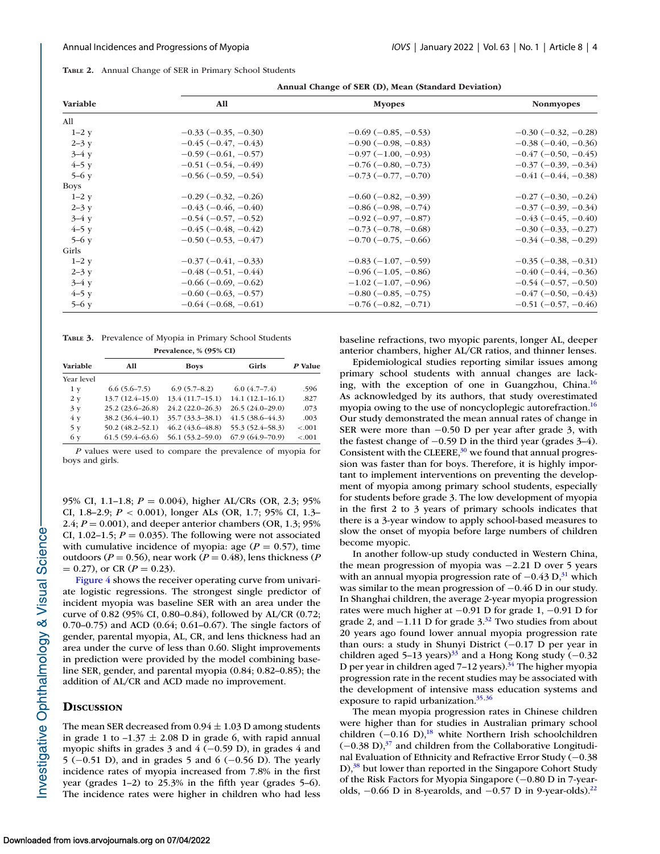<span id="page-3-0"></span>

|  |  | TABLE 2. Annual Change of SER in Primary School Students |  |  |  |  |
|--|--|----------------------------------------------------------|--|--|--|--|
|--|--|----------------------------------------------------------|--|--|--|--|

**Annual Change of SER (D), Mean (Standard Deviation)**

| Variable    | All                           | <b>Myopes</b>                 | <b>Nonmyopes</b>              |
|-------------|-------------------------------|-------------------------------|-------------------------------|
| All         |                               |                               |                               |
| $1-2$ y     | $-0.33(-0.35, -0.30)$         | $-0.69(-0.85, -0.53)$         | $-0.30$ ( $-0.32$ , $-0.28$ ) |
| $2 - 3y$    | $-0.45(-0.47, -0.43)$         | $-0.90(-0.98, -0.83)$         | $-0.38$ ( $-0.40, -0.36$ )    |
| $3-4y$      | $-0.59(-0.61, -0.57)$         | $-0.97(-1.00, -0.93)$         | $-0.47(-0.50, -0.45)$         |
| $4-5y$      | $-0.51(-0.54, -0.49)$         | $-0.76(-0.80,-0.73)$          | $-0.37$ ( $-0.39$ , $-0.34$ ) |
| $5-6y$      | $-0.56(-0.59, -0.54)$         | $-0.73(-0.77, -0.70)$         | $-0.41(-0.44, -0.38)$         |
| <b>Boys</b> |                               |                               |                               |
| $1-2y$      | $-0.29(-0.32, -0.26)$         | $-0.60(-0.82, -0.39)$         | $-0.27$ ( $-0.30$ , $-0.24$ ) |
| $2 - 3y$    | $-0.43(-0.46, -0.40)$         | $-0.86(-0.98, -0.74)$         | $-0.37(-0.39, -0.34)$         |
| $3-4y$      | $-0.54(-0.57, -0.52)$         | $-0.92$ ( $-0.97, -0.87$ )    | $-0.43(-0.45, -0.40)$         |
| $4-5y$      | $-0.45$ ( $-0.48$ , $-0.42$ ) | $-0.73(-0.78, -0.68)$         | $-0.30$ ( $-0.33$ , $-0.27$ ) |
| $5-6y$      | $-0.50$ ( $-0.53$ , $-0.47$ ) | $-0.70$ ( $-0.75$ , $-0.66$ ) | $-0.34(-0.38,-0.29)$          |
| Girls       |                               |                               |                               |
| $1-2y$      | $-0.37(-0.41,-0.33)$          | $-0.83(-1.07,-0.59)$          | $-0.35(-0.38, -0.31)$         |
| $2 - 3y$    | $-0.48(-0.51, -0.44)$         | $-0.96(-1.05, -0.86)$         | $-0.40$ ( $-0.44$ , $-0.36$ ) |
| $3-4y$      | $-0.66(-0.69, -0.62)$         | $-1.02$ ( $-1.07$ , $-0.96$ ) | $-0.54(-0.57, -0.50)$         |
| $4-5y$      | $-0.60$ ( $-0.63$ , $-0.57$ ) | $-0.80$ ( $-0.85$ , $-0.75$ ) | $-0.47$ ( $-0.50$ , $-0.43$ ) |
| $5-6y$      | $-0.64(-0.68, -0.61)$         | $-0.76(-0.82, -0.71)$         | $-0.51(-0.57, -0.46)$         |

**TABLE 3.** Prevalence of Myopia in Primary School Students

**Prevalence, % (95% CI)**

| Variable   | All                 | <b>Boys</b>         | Girls               | P Value |
|------------|---------------------|---------------------|---------------------|---------|
| Year level |                     |                     |                     |         |
| 1 y        | $6.6(5.6 - 7.5)$    | $6.9(5.7-8.2)$      | 6.0(4.7–7.4)        | .596    |
| 2 y        | $13.7(12.4-15.0)$   | $13.4(11.7-15.1)$   | $14.1(12.1-16.1)$   | .827    |
| 3y         | $25.2(23.6-26.8)$   | $24.2(22.0-26.3)$   | $26.5(24.0-29.0)$   | .073    |
| 4 y        | 38.2 (36.4–40.1)    | $35.7(33.3-38.1)$   | $41.5(38.6 - 44.3)$ | .003    |
| 5 y        | $50.2(48.2 - 52.1)$ | $46.2(43.6 - 48.8)$ | 55.3 (52.4–58.3)    | $-.001$ |
| 6 y        | $61.5(59.4-63.6)$   | $56.1(53.2 - 59.0)$ | $67.9(64.9 - 70.9)$ | $-.001$ |

*P* values were used to compare the prevalence of myopia for boys and girls.

95% CI, 1.1–1.8; *P* = 0.004), higher AL/CRs (OR, 2.3; 95% CI, 1.8–2.9; *P* < 0.001), longer ALs (OR, 1.7; 95% CI, 1.3– 2.4;  $P = 0.001$ ), and deeper anterior chambers (OR, 1.3; 95%) CI, 1.02–1.5;  $P = 0.035$ ). The following were not associated with cumulative incidence of myopia: age  $(P = 0.57)$ , time outdoors ( $P = 0.56$ ), near work ( $P = 0.48$ ), lens thickness ( $P$  $= 0.27$ , or CR ( $P = 0.23$ ).

[Figure 4](#page-5-0) shows the receiver operating curve from univariate logistic regressions. The strongest single predictor of incident myopia was baseline SER with an area under the curve of 0.82 (95% CI, 0.80–0.84), followed by AL/CR (0.72; 0.70–0.75) and ACD (0.64; 0.61–0.67). The single factors of gender, parental myopia, AL, CR, and lens thickness had an area under the curve of less than 0.60. Slight improvements in prediction were provided by the model combining baseline SER, gender, and parental myopia (0.84; 0.82–0.85); the addition of AL/CR and ACD made no improvement.

# **DISCUSSION**

The mean SER decreased from  $0.94 \pm 1.03$  D among students in grade 1 to  $-1.37 \pm 2.08$  D in grade 6, with rapid annual myopic shifts in grades 3 and  $4$  (−0.59 D), in grades 4 and 5 (−0.51 D), and in grades 5 and 6 (−0.56 D). The yearly incidence rates of myopia increased from 7.8% in the first year (grades 1–2) to 25.3% in the fifth year (grades 5–6). The incidence rates were higher in children who had less

baseline refractions, two myopic parents, longer AL, deeper anterior chambers, higher AL/CR ratios, and thinner lenses.

Epidemiological studies reporting similar issues among primary school students with annual changes are lacking, with the exception of one in Guangzhou, China[.16](#page-6-0) As acknowledged by its authors, that study overestimated myopia owing to the use of noncycloplegic autorefraction.<sup>16</sup> Our study demonstrated the mean annual rates of change in SER were more than −0.50 D per year after grade 3, with the fastest change of −0.59 D in the third year (grades 3–4). Consistent with the CLEERE,  $30$  we found that annual progression was faster than for boys. Therefore, it is highly important to implement interventions on preventing the development of myopia among primary school students, especially for students before grade 3. The low development of myopia in the first 2 to 3 years of primary schools indicates that there is a 3-year window to apply school-based measures to slow the onset of myopia before large numbers of children become myopic.

In another follow-up study conducted in Western China, the mean progression of myopia was −2.21 D over 5 years with an annual myopia progression rate of  $-0.43 \text{ D}$ ,<sup>31</sup> which was similar to the mean progression of −0.46 D in our study. In Shanghai children, the average 2-year myopia progression rates were much higher at −0.91 D for grade 1, −0.91 D for grade 2, and −1.11 D for grade  $3^{32}$  Two studies from about 20 years ago found lower annual myopia progression rate than ours: a study in Shunyi District (−0.17 D per year in children aged 5–13 years)<sup>[33](#page-7-0)</sup> and a Hong Kong study (−0.32 D per year in children aged 7–12 years).<sup>34</sup> The higher myopia progression rate in the recent studies may be associated with the development of intensive mass education systems and exposure to rapid urbanization.<sup>35,36</sup>

The mean myopia progression rates in Chinese children were higher than for studies in Australian primary school children  $(-0.16 \text{ D})$ ,<sup>18</sup> white Northern Irish schoolchildren  $(-0.38 \text{ D})$ ,<sup>37</sup> and children from the Collaborative Longitudinal Evaluation of Ethnicity and Refractive Error Study (−0.38 D),<sup>38</sup> but lower than reported in the Singapore Cohort Study of the Risk Factors for Myopia Singapore (−0.80 D in 7-yearolds,  $-0.66$  D in 8-yearolds, and  $-0.57$  D in 9-year-olds).<sup>22</sup>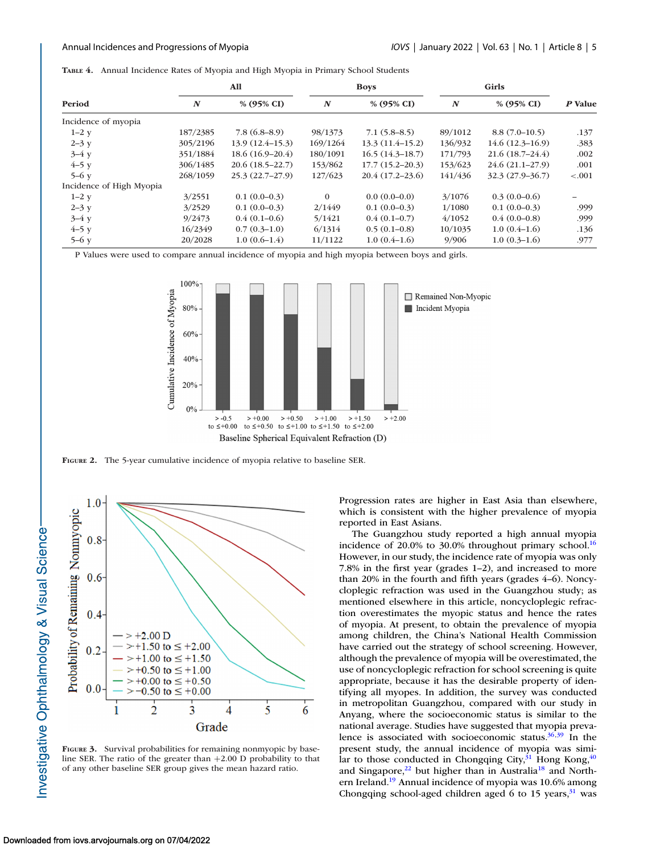<span id="page-4-0"></span>**TABLE 4.** Annual Incidence Rates of Myopia and High Myopia in Primary School Students

|                          |                  | All               |                  | <b>Boys</b>           |                  | Girls               |         |
|--------------------------|------------------|-------------------|------------------|-----------------------|------------------|---------------------|---------|
| Period                   | $\boldsymbol{N}$ | % (95% CI)        | $\boldsymbol{N}$ | % $(95\% \text{ CI})$ | $\boldsymbol{N}$ | % (95% CI)          | P Value |
| Incidence of myopia      |                  |                   |                  |                       |                  |                     |         |
| $1-2y$                   | 187/2385         | 7.8(6.8–8.9)      | 98/1373          | $7.1(5.8-8.5)$        | 89/1012          | $8.8(7.0-10.5)$     | .137    |
| $2 - 3y$                 | 305/2196         | $13.9(12.4-15.3)$ | 169/1264         | $13.3(11.4-15.2)$     | 136/932          | $14.6(12.3-16.9)$   | .383    |
| $3-4y$                   | 351/1884         | $18.6(16.9-20.4)$ | 180/1091         | $16.5(14.3-18.7)$     | 171/793          | $21.6(18.7-24.4)$   | .002    |
| $4-5y$                   | 306/1485         | $20.6(18.5-22.7)$ | 153/862          | $17.7(15.2 - 20.3)$   | 153/623          | $24.6(21.1 - 27.9)$ | .001    |
| $5-6y$                   | 268/1059         | $25.3(22.7-27.9)$ | 127/623          | $20.4(17.2-23.6)$     | 141/436          | $32.3(27.9-36.7)$   | $-.001$ |
| Incidence of High Myopia |                  |                   |                  |                       |                  |                     |         |
| $1-2y$                   | 3/2551           | $0.1(0.0-0.3)$    | $\Omega$         | $0.0(0.0-0.0)$        | 3/1076           | $0.3(0.0-0.6)$      |         |
| $2 - 3y$                 | 3/2529           | $0.1(0.0-0.3)$    | 2/1449           | $0.1(0.0-0.3)$        | 1/1080           | $0.1(0.0-0.3)$      | .999    |
| $3-4y$                   | 9/2473           | $0.4(0.1-0.6)$    | 5/1421           | $0.4(0.1-0.7)$        | 4/1052           | $0.4(0.0-0.8)$      | .999    |
| $4-5y$                   | 16/2349          | $0.7(0.3-1.0)$    | 6/1314           | $0.5(0.1-0.8)$        | 10/1035          | $1.0(0.4-1.6)$      | .136    |
| $5-6y$                   | 20/2028          | $1.0(0.6-1.4)$    | 11/1122          | $1.0(0.4-1.6)$        | 9/906            | $1.0(0.3-1.6)$      | .977    |

P Values were used to compare annual incidence of myopia and high myopia between boys and girls.



**FIGURE 2.** The 5-year cumulative incidence of myopia relative to baseline SER.



**FIGURE 3.** Survival probabilities for remaining nonmyopic by baseline SER. The ratio of the greater than +2.00 D probability to that of any other baseline SER group gives the mean hazard ratio.

Progression rates are higher in East Asia than elsewhere, which is consistent with the higher prevalence of myopia reported in East Asians.

The Guangzhou study reported a high annual myopia incidence of 20.0% to 30.0% throughout primary school.<sup>16</sup> However, in our study, the incidence rate of myopia was only 7.8% in the first year (grades 1–2), and increased to more than 20% in the fourth and fifth years (grades 4–6). Noncycloplegic refraction was used in the Guangzhou study; as mentioned elsewhere in this article, noncycloplegic refraction overestimates the myopic status and hence the rates of myopia. At present, to obtain the prevalence of myopia among children, the China's National Health Commission have carried out the strategy of school screening. However, although the prevalence of myopia will be overestimated, the use of noncycloplegic refraction for school screening is quite appropriate, because it has the desirable property of identifying all myopes. In addition, the survey was conducted in metropolitan Guangzhou, compared with our study in Anyang, where the socioeconomic status is similar to the national average. Studies have suggested that myopia prevalence is associated with socioeconomic status. $36,39$  In the present study, the annual incidence of myopia was similar to those conducted in Chongqing City, $31$  Hong Kong,  $40$ and Singapore, $22$  but higher than in Australia<sup>18</sup> and Northern Ireland.<sup>19</sup> Annual incidence of myopia was 10.6% among Chongqing school-aged children aged 6 to 15 years, $31$  was

Investigative Ophthalmology & Visual Science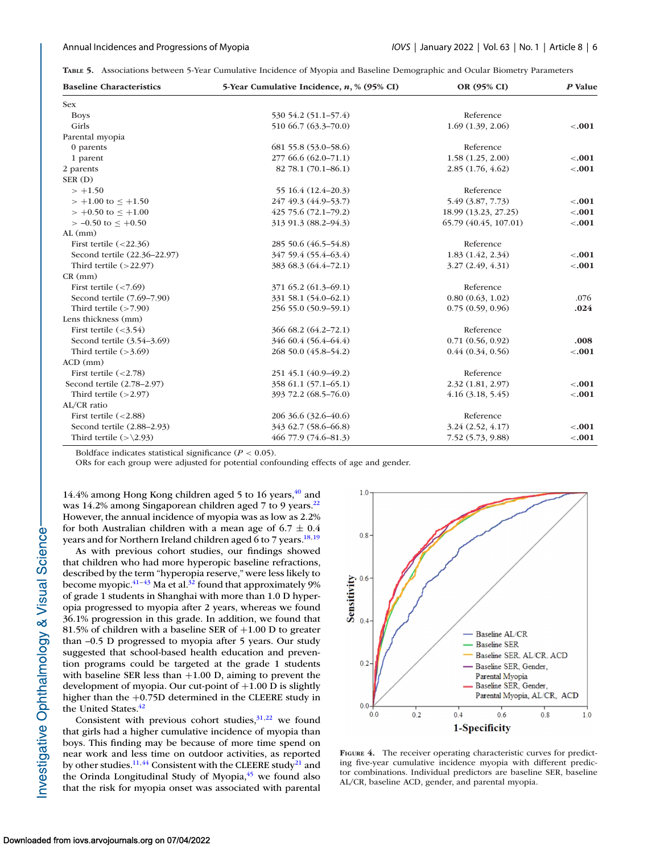<span id="page-5-0"></span>**TABLE 5.** Associations between 5-Year Cumulative Incidence of Myopia and Baseline Demographic and Ocular Biometry Parameters

| <b>Baseline Characteristics</b> | 5-Year Cumulative Incidence, n, % (95% CI) | OR (95% CI)           | P Value |
|---------------------------------|--------------------------------------------|-----------------------|---------|
| <b>Sex</b>                      |                                            |                       |         |
| <b>Boys</b>                     | 530 54.2 (51.1-57.4)                       | Reference             |         |
| Girls                           | 510 66.7 (63.3-70.0)                       | 1.69(1.39, 2.06)      | $-.001$ |
| Parental myopia                 |                                            |                       |         |
| 0 parents                       | 681 55.8 (53.0–58.6)                       | Reference             |         |
| 1 parent                        | 277 66.6 (62.0–71.1)                       | 1.58(1.25, 2.00)      | $-.001$ |
| 2 parents                       | 82 78.1 (70.1-86.1)                        | 2.85(1.76, 4.62)      | $-.001$ |
| SER(D)                          |                                            |                       |         |
| $> +1.50$                       | 55 16.4 (12.4–20.3)                        | Reference             |         |
| $> +1.00$ to $\le +1.50$        | 247 49.3 (44.9-53.7)                       | 5.49 (3.87, 7.73)     | $-.001$ |
| $> +0.50$ to $\le +1.00$        | 425 75.6 (72.1-79.2)                       | 18.99 (13.23, 27.25)  | $-.001$ |
| $> -0.50$ to $< +0.50$          | 313 91.3 (88.2-94.3)                       | 65.79 (40.45, 107.01) | $-.001$ |
| $AL$ (mm)                       |                                            |                       |         |
| First tertile $(<22.36)$        | 285 50.6 (46.5–54.8)                       | Reference             |         |
| Second tertile (22.36-22.97)    | 347 59.4 (55.4–63.4)                       | 1.83(1.42, 2.34)      | < .001  |
| Third tertile $(>22.97)$        | 383 68.3 (64.4–72.1)                       | 3.27(2.49, 4.31)      | $-.001$ |
| $CR$ (mm)                       |                                            |                       |         |
| First tertile $(< 7.69)$        | 371 65.2 (61.3–69.1)                       | Reference             |         |
| Second tertile (7.69-7.90)      | 331 58.1 (54.0-62.1)                       | 0.80(0.63, 1.02)      | .076    |
| Third tertile $($ >7.90)        | 256 55.0 (50.9-59.1)                       | 0.75(0.59, 0.96)      | .024    |
| Lens thickness (mm)             |                                            |                       |         |
| First tertile $(<3.54)$         | 366 68.2 (64.2-72.1)                       | Reference             |         |
| Second tertile (3.54-3.69)      | 346 60.4 (56.4–64.4)                       | 0.71(0.56, 0.92)      | .008    |
| Third tertile $(>3.69)$         | 268 50.0 (45.8–54.2)                       | 0.44(0.34, 0.56)      | $-.001$ |
| $ACD$ (mm)                      |                                            |                       |         |
| First tertile $(<2.78)$         | 251 45.1 (40.9-49.2)                       | Reference             |         |
| Second tertile (2.78-2.97)      | 358 61.1 (57.1-65.1)                       | 2.32(1.81, 2.97)      | $-.001$ |
| Third tertile $(>2.97)$         | 393 72.2 (68.5-76.0)                       | $4.16$ $(3.18, 5.45)$ | $-.001$ |
| AL/CR ratio                     |                                            |                       |         |
| First tertile $(<2.88)$         | 206 36.6 (32.6–40.6)                       | Reference             |         |
| Second tertile (2.88-2.93)      | 343 62.7 (58.6–66.8)                       | 3.24(2.52, 4.17)      | $-.001$ |
| Third tertile $(>\2.93)$        | 466 77.9 (74.6-81.3)                       | 7.52 (5.73, 9.88)     | $-.001$ |

Boldface indicates statistical significance ( $P < 0.05$ ).

ORs for each group were adjusted for potential confounding effects of age and gender.

14.4% among Hong Kong children aged 5 to 16 years, $40$  and was 14.2% among Singaporean children aged 7 to 9 years.<sup>22</sup> However, the annual incidence of myopia was as low as 2.2% for both Australian children with a mean age of  $6.7 \pm 0.4$ years and for Northern Ireland children aged 6 to 7 years.<sup>18,19</sup>

As with previous cohort studies, our findings showed that children who had more hyperopic baseline refractions, described by the term "hyperopia reserve," were less likely to become myopic. $41-43$  Ma et al.<sup>32</sup> found that approximately 9% of grade 1 students in Shanghai with more than 1.0 D hyperopia progressed to myopia after 2 years, whereas we found 36.1% progression in this grade. In addition, we found that 81.5% of children with a baseline SER of  $+1.00$  D to greater than –0.5 D progressed to myopia after 5 years. Our study suggested that school-based health education and prevention programs could be targeted at the grade 1 students with baseline SER less than +1.00 D, aiming to prevent the development of myopia. Our cut-point of  $+1.00$  D is slightly higher than the +0.75D determined in the CLEERE study in the United States.<sup>42</sup>

Consistent with previous cohort studies,  $31,22$  we found that girls had a higher cumulative incidence of myopia than boys. This finding may be because of more time spend on near work and less time on outdoor activities, as reported by other studies.<sup>11,[44](#page-7-0)</sup> Consistent with the CLEERE study<sup>21</sup> and the Orinda Longitudinal Study of Myopia, $45$  we found also that the risk for myopia onset was associated with parental



**FIGURE 4.** The receiver operating characteristic curves for predicting five-year cumulative incidence myopia with different predictor combinations. Individual predictors are baseline SER, baseline AL/CR, baseline ACD, gender, and parental myopia.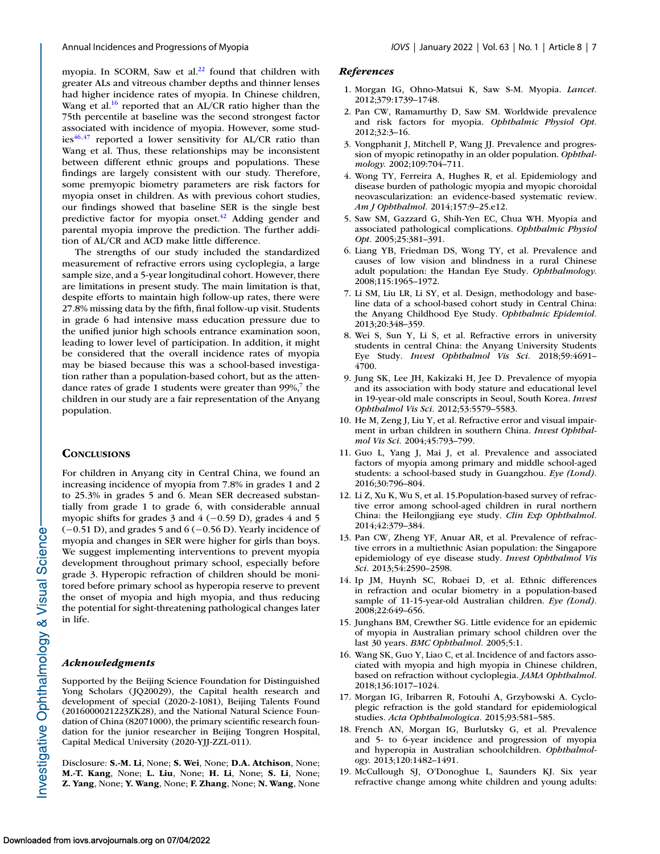<span id="page-6-0"></span>myopia. In SCORM, Saw et al.<sup>22</sup> found that children with greater ALs and vitreous chamber depths and thinner lenses had higher incidence rates of myopia. In Chinese children, Wang et al.<sup>16</sup> reported that an AL/CR ratio higher than the 75th percentile at baseline was the second strongest factor associated with incidence of myopia. However, some stud $ies^{46,47}$  reported a lower sensitivity for AL/CR ratio than Wang et al. Thus, these relationships may be inconsistent between different ethnic groups and populations. These findings are largely consistent with our study. Therefore, some premyopic biometry parameters are risk factors for myopia onset in children. As with previous cohort studies, our findings showed that baseline SER is the single best predictive factor for myopia onset.<sup>42</sup> Adding gender and parental myopia improve the prediction. The further addition of AL/CR and ACD make little difference.

The strengths of our study included the standardized measurement of refractive errors using cycloplegia, a large sample size, and a 5-year longitudinal cohort. However, there are limitations in present study. The main limitation is that, despite efforts to maintain high follow-up rates, there were 27.8% missing data by the fifth, final follow-up visit. Students in grade 6 had intensive mass education pressure due to the unified junior high schools entrance examination soon, leading to lower level of participation. In addition, it might be considered that the overall incidence rates of myopia may be biased because this was a school-based investigation rather than a population-based cohort, but as the attendance rates of grade 1 students were greater than  $99\%$ ,<sup>7</sup> the children in our study are a fair representation of the Anyang population.

## **CONCLUSIONS**

For children in Anyang city in Central China, we found an increasing incidence of myopia from 7.8% in grades 1 and 2 to 25.3% in grades 5 and 6. Mean SER decreased substantially from grade 1 to grade 6, with considerable annual myopic shifts for grades 3 and 4  $(-0.59 \text{ D})$ , grades 4 and 5 (−0.51 D), and grades 5 and 6 (−0.56 D). Yearly incidence of myopia and changes in SER were higher for girls than boys. We suggest implementing interventions to prevent myopia development throughout primary school, especially before grade 3. Hyperopic refraction of children should be monitored before primary school as hyperopia reserve to prevent the onset of myopia and high myopia, and thus reducing the potential for sight-threatening pathological changes later in life.

### *Acknowledgments*

Supported by the Beijing Science Foundation for Distinguished Yong Scholars (JQ20029), the Capital health research and development of special (2020-2-1081), Beijing Talents Found (2016000021223ZK28), and the National Natural Science Foundation of China (82071000), the primary scientific research foundation for the junior researcher in Beijing Tongren Hospital, Capital Medical University (2020-YJJ-ZZL-011).

Disclosure: **S.-M. Li**, None; **S. Wei**, None; **D.A. Atchison**, None; **M.-T. Kang**, None; **L. Liu**, None; **H. Li**, None; **S. Li**, None; **Z. Yang**, None; **Y. Wang**, None; **F. Zhang**, None; **N. Wang**, None

### *References*

- 1. Morgan IG, Ohno-Matsui K, Saw S-M. Myopia. *Lancet.* 2012;379:1739–1748.
- 2. Pan CW, Ramamurthy D, Saw SM. Worldwide prevalence and risk factors for myopia. *Ophthalmic Physiol Opt.* 2012;32:3–16.
- 3. Vongphanit J, Mitchell P, Wang JJ. Prevalence and progression of myopic retinopathy in an older population. *Ophthalmology.* 2002;109:704–711.
- 4. Wong TY, Ferreira A, Hughes R, et al. Epidemiology and disease burden of pathologic myopia and myopic choroidal neovascularization: an evidence-based systematic review. *Am J Ophthalmol.* 2014;157:9–25.e12.
- 5. Saw SM, Gazzard G, Shih-Yen EC, Chua WH. Myopia and associated pathological complications. *Ophthalmic Physiol Opt.* 2005;25:381–391.
- 6. Liang YB, Friedman DS, Wong TY, et al. Prevalence and causes of low vision and blindness in a rural Chinese adult population: the Handan Eye Study. *Ophthalmology.* 2008;115:1965–1972.
- 7. Li SM, Liu LR, Li SY, et al. Design, methodology and baseline data of a school-based cohort study in Central China: the Anyang Childhood Eye Study. *Ophthalmic Epidemiol.* 2013;20:348–359.
- 8. Wei S, Sun Y, Li S, et al. Refractive errors in university students in central China: the Anyang University Students Eye Study. *Invest Ophthalmol Vis Sci.* 2018;59:4691– 4700.
- 9. Jung SK, Lee JH, Kakizaki H, Jee D. Prevalence of myopia and its association with body stature and educational level in 19-year-old male conscripts in Seoul, South Korea. *Invest Ophthalmol Vis Sci.* 2012;53:5579–5583.
- 10. He M, Zeng J, Liu Y, et al. Refractive error and visual impairment in urban children in southern China. *Invest Ophthalmol Vis Sci.* 2004;45:793–799.
- 11. Guo L, Yang J, Mai J, et al. Prevalence and associated factors of myopia among primary and middle school-aged students: a school-based study in Guangzhou. *Eye (Lond).* 2016;30:796–804.
- 12. Li Z, Xu K, Wu S, et al. 15.Population-based survey of refractive error among school-aged children in rural northern China: the Heilongjiang eye study. *Clin Exp Ophthalmol.* 2014;42:379–384.
- 13. Pan CW, Zheng YF, Anuar AR, et al. Prevalence of refractive errors in a multiethnic Asian population: the Singapore epidemiology of eye disease study. *Invest Ophthalmol Vis Sci.* 2013;54:2590–2598.
- 14. Ip JM, Huynh SC, Robaei D, et al. Ethnic differences in refraction and ocular biometry in a population-based sample of 11-15-year-old Australian children. *Eye (Lond).* 2008;22:649–656.
- 15. Junghans BM, Crewther SG. Little evidence for an epidemic of myopia in Australian primary school children over the last 30 years. *BMC Ophthalmol.* 2005;5:1.
- 16. Wang SK, Guo Y, Liao C, et al. Incidence of and factors associated with myopia and high myopia in Chinese children, based on refraction without cycloplegia. *JAMA Ophthalmol.* 2018;136:1017–1024.
- 17. Morgan IG, Iribarren R, Fotouhi A, Grzybowski A. Cycloplegic refraction is the gold standard for epidemiological studies. *Acta Ophthalmologica.* 2015;93:581–585.
- 18. French AN, Morgan IG, Burlutsky G, et al. Prevalence and 5- to 6-year incidence and progression of myopia and hyperopia in Australian schoolchildren. *Ophthalmology.* 2013;120:1482–1491.
- 19. McCullough SJ, O'Donoghue L, Saunders KJ. Six year refractive change among white children and young adults: